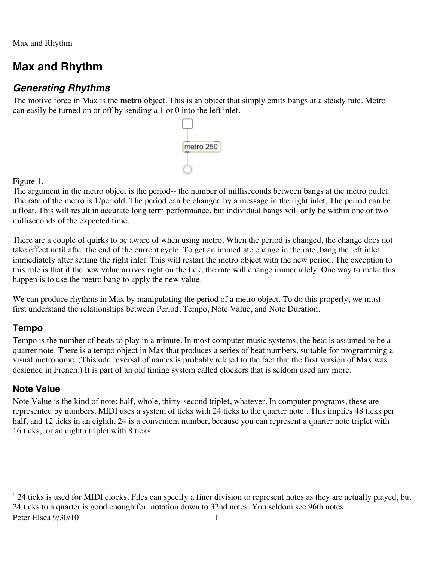## *Generating Rhythms*

The motive force in Max is the **metro** object. This is an object that simply emits bangs at a steady rate. Metro can easily be turned on or off by sending a 1 or 0 into the left inlet.



Figure 1.

The argument in the metro object is the period-- the number of milliseconds between bangs at the metro outlet. The rate of the metro is 1/periold. The period can be changed by a message in the right inlet. The period can be a float. This will result in accurate long term performance, but individual bangs will only be within one or two milliseconds of the expected time.

There are a couple of quirks to be aware of when using metro. When the period is changed, the change does not take effect until after the end of the current cycle. To get an immediate change in the rate, bang the left inlet immediately after setting the right inlet. This will restart the metro object with the new period. The exception to this rule is that if the new value arrives right on the tick, the rate will change immediately. One way to make this happen is to use the metro bang to apply the new value.

We can produce rhythms in Max by manipulating the period of a metro object. To do this properly, we must first understand the relationships between Period, Tempo, Note Value, and Note Duration.

### **Tempo**

Tempo is the number of beats to play in a minute. In most computer music systems, the beat is assumed to be a quarter note. There is a tempo object in Max that produces a series of beat numbers, suitable for programming a visual metronome. (This odd reversal of names is probably related to the fact that the first version of Max was designed in French.) It is part of an old timing system called clockers that is seldom used any more.

## **Note Value**

Note Value is the kind of note: half, whole, thirty-second triplet, whatever. In computer programs, these are represented by numbers. MIDI uses a system of ticks with 24 ticks to the quarter note<sup>1</sup>. This implies 48 ticks per half, and 12 ticks in an eighth. 24 is a convenient number, because you can represent a quarter note triplet with 16 ticks, or an eighth triplet with 8 ticks.

<sup>|&</sup>lt;br>|<br>| <sup>1</sup> 24 ticks is used for MIDI clocks. Files can specify a finer division to represent notes as they are actually played, but 24 ticks to a quarter is good enough for notation down to 32nd notes. You seldom see 96th notes.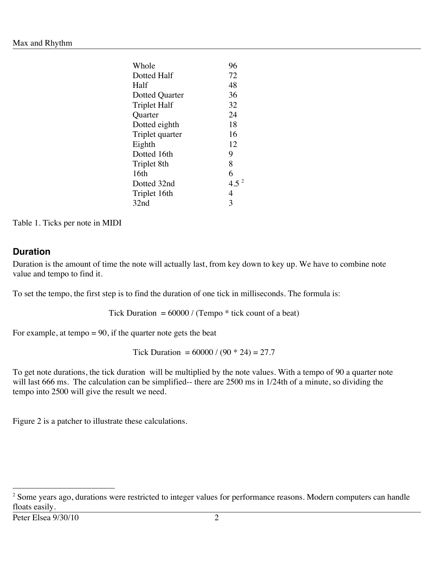| 96               |
|------------------|
| 72               |
| 48               |
| 36               |
| 32               |
| 24               |
| 18               |
| 16               |
| 12               |
| 9                |
| 8                |
| 6                |
| 4.5 <sup>2</sup> |
| 4                |
| 3                |
|                  |

Table 1. Ticks per note in MIDI

### **Duration**

Duration is the amount of time the note will actually last, from key down to key up. We have to combine note value and tempo to find it.

To set the tempo, the first step is to find the duration of one tick in milliseconds. The formula is:

Tick Duration  $= 60000 / (Tempo * tick count of a beat)$ 

For example, at tempo  $= 90$ , if the quarter note gets the beat

Tick Duration =  $60000 / (90 * 24) = 27.7$ 

To get note durations, the tick duration will be multiplied by the note values. With a tempo of 90 a quarter note will last 666 ms. The calculation can be simplified-- there are 2500 ms in 1/24th of a minute, so dividing the tempo into 2500 will give the result we need.

Figure 2 is a patcher to illustrate these calculations.

 $\frac{1}{2}$ <sup>2</sup> Some years ago, durations were restricted to integer values for performance reasons. Modern computers can handle floats easily.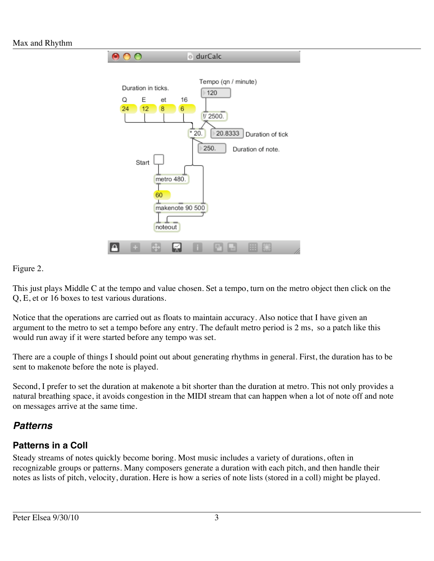

### Figure 2.

This just plays Middle C at the tempo and value chosen. Set a tempo, turn on the metro object then click on the Q, E, et or 16 boxes to test various durations.

Notice that the operations are carried out as floats to maintain accuracy. Also notice that I have given an argument to the metro to set a tempo before any entry. The default metro period is 2 ms, so a patch like this would run away if it were started before any tempo was set.

There are a couple of things I should point out about generating rhythms in general. First, the duration has to be sent to makenote before the note is played.

Second, I prefer to set the duration at makenote a bit shorter than the duration at metro. This not only provides a natural breathing space, it avoids congestion in the MIDI stream that can happen when a lot of note off and note on messages arrive at the same time.

## *Patterns*

## **Patterns in a Coll**

Steady streams of notes quickly become boring. Most music includes a variety of durations, often in recognizable groups or patterns. Many composers generate a duration with each pitch, and then handle their notes as lists of pitch, velocity, duration. Here is how a series of note lists (stored in a coll) might be played.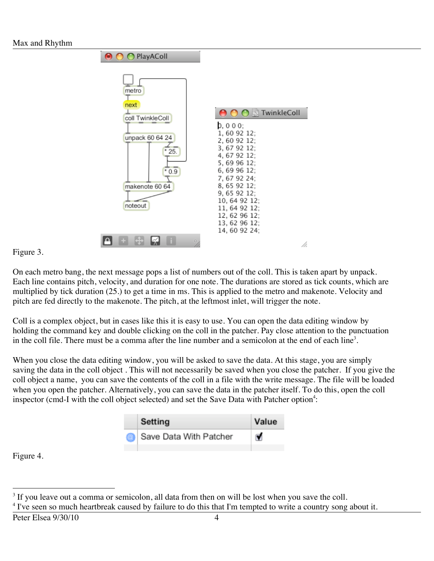



On each metro bang, the next message pops a list of numbers out of the coll. This is taken apart by unpack. Each line contains pitch, velocity, and duration for one note. The durations are stored as tick counts, which are multiplied by tick duration (25.) to get a time in ms. This is applied to the metro and makenote. Velocity and pitch are fed directly to the makenote. The pitch, at the leftmost inlet, will trigger the note.

Coll is a complex object, but in cases like this it is easy to use. You can open the data editing window by holding the command key and double clicking on the coll in the patcher. Pay close attention to the punctuation in the coll file. There must be a comma after the line number and a semicolon at the end of each line<sup>3</sup>.

When you close the data editing window, you will be asked to save the data. At this stage, you are simply saving the data in the coll object . This will not necessarily be saved when you close the patcher. If you give the coll object a name, you can save the contents of the coll in a file with the write message. The file will be loaded when you open the patcher. Alternatively, you can save the data in the patcher itself. To do this, open the coll inspector (cmd-I with the coll object selected) and set the Save Data with Patcher option<sup>4</sup>:

| Setting                | Value |
|------------------------|-------|
| Save Data With Patcher | M     |

Figure 4.

 <sup>3</sup>  $3$  If you leave out a comma or semicolon, all data from then on will be lost when you save the coll.

<sup>&</sup>lt;sup>4</sup> I've seen so much heartbreak caused by failure to do this that I'm tempted to write a country song about it.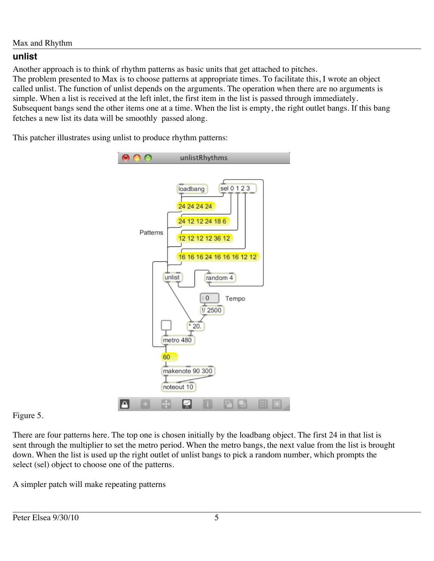### **unlist**

Another approach is to think of rhythm patterns as basic units that get attached to pitches.

The problem presented to Max is to choose patterns at appropriate times. To facilitate this, I wrote an object called unlist. The function of unlist depends on the arguments. The operation when there are no arguments is simple. When a list is received at the left inlet, the first item in the list is passed through immediately. Subsequent bangs send the other items one at a time. When the list is empty, the right outlet bangs. If this bang fetches a new list its data will be smoothly passed along.

This patcher illustrates using unlist to produce rhythm patterns:



### Figure 5.

There are four patterns here. The top one is chosen initially by the loadbang object. The first 24 in that list is sent through the multiplier to set the metro period. When the metro bangs, the next value from the list is brought down. When the list is used up the right outlet of unlist bangs to pick a random number, which prompts the select (sel) object to choose one of the patterns.

A simpler patch will make repeating patterns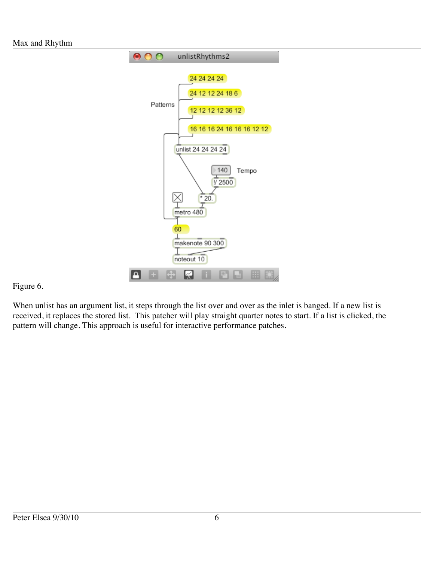

### Figure 6.

When unlist has an argument list, it steps through the list over and over as the inlet is banged. If a new list is received, it replaces the stored list. This patcher will play straight quarter notes to start. If a list is clicked, the pattern will change. This approach is useful for interactive performance patches.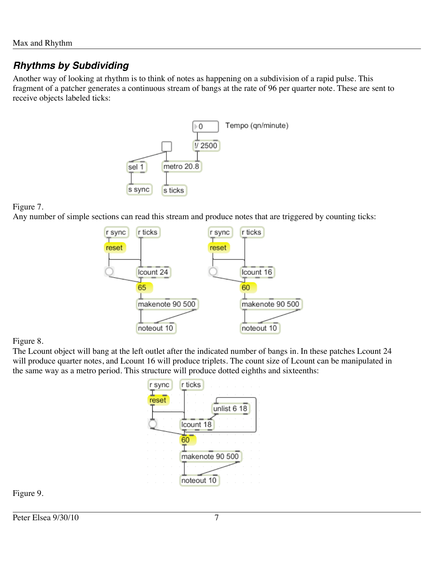## *Rhythms by Subdividing*

Another way of looking at rhythm is to think of notes as happening on a subdivision of a rapid pulse. This fragment of a patcher generates a continuous stream of bangs at the rate of 96 per quarter note. These are sent to receive objects labeled ticks:



### Figure 7.

Any number of simple sections can read this stream and produce notes that are triggered by counting ticks:



### Figure 8.

The Lcount object will bang at the left outlet after the indicated number of bangs in. In these patches Lcount 24 will produce quarter notes, and Lcount 16 will produce triplets. The count size of Lcount can be manipulated in the same way as a metro period. This structure will produce dotted eighths and sixteenths:



Figure 9.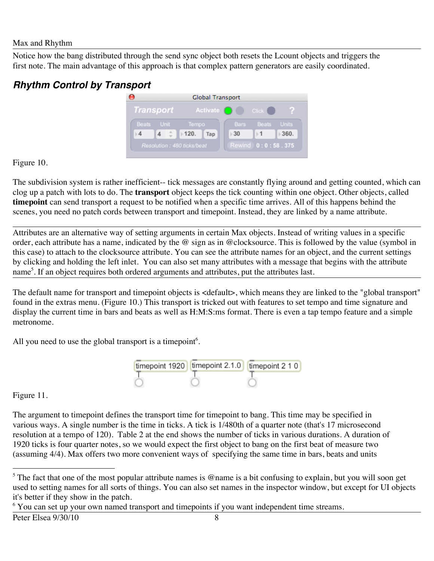Notice how the bang distributed through the send sync object both resets the Lcount objects and triggers the first note. The main advantage of this approach is that complex pattern generators are easily coordinated.

## *Rhythm Control by Transport*



Figure 10.

The subdivision system is rather inefficient-- tick messages are constantly flying around and getting counted, which can clog up a patch with lots to do. The **transport** object keeps the tick counting within one object. Other objects, called **timepoint** can send transport a request to be notified when a specific time arrives. All of this happens behind the scenes, you need no patch cords between transport and timepoint. Instead, they are linked by a name attribute.

Attributes are an alternative way of setting arguments in certain Max objects. Instead of writing values in a specific order, each attribute has a name, indicated by the @ sign as in @clocksource. This is followed by the value (symbol in this case) to attach to the clocksource attribute. You can see the attribute names for an object, and the current settings by clicking and holding the left inlet. You can also set many attributes with a message that begins with the attribute name<sup>5</sup>. If an object requires both ordered arguments and attributes, put the attributes last.

The default name for transport and timepoint objects is <default>, which means they are linked to the "global transport" found in the extras menu. (Figure 10.) This transport is tricked out with features to set tempo and time signature and display the current time in bars and beats as well as H:M:S:ms format. There is even a tap tempo feature and a simple metronome.

All you need to use the global transport is a timepoint<sup>6</sup>.



Figure 11.

The argument to timepoint defines the transport time for timepoint to bang. This time may be specified in various ways. A single number is the time in ticks. A tick is 1/480th of a quarter note (that's 17 microsecond resolution at a tempo of 120). Table 2 at the end shows the number of ticks in various durations. A duration of 1920 ticks is four quarter notes, so we would expect the first object to bang on the first beat of measure two (assuming 4/4). Max offers two more convenient ways of specifying the same time in bars, beats and units

<sup>6</sup> You can set up your own named transport and timepoints if you want independent time streams.

 <sup>5</sup> <sup>5</sup> The fact that one of the most popular attribute names is @name is a bit confusing to explain, but you will soon get used to setting names for all sorts of things. You can also set names in the inspector window, but except for UI objects it's better if they show in the patch.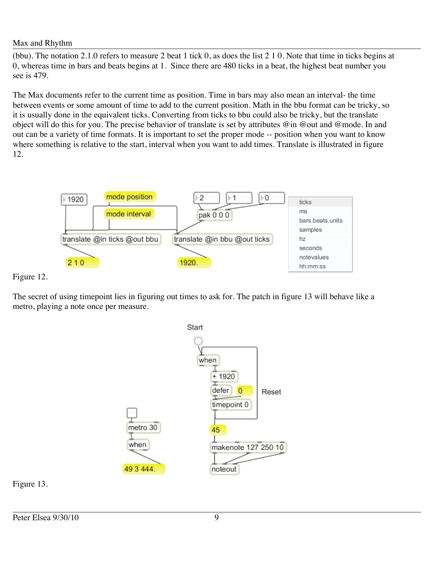(bbu). The notation 2.1.0 refers to measure 2 beat 1 tick 0, as does the list 2 1 0. Note that time in ticks begins at 0, whereas time in bars and beats begins at 1. Since there are 480 ticks in a beat, the highest beat number you see is 479.

The Max documents refer to the current time as position. Time in bars may also mean an interval- the time between events or some amount of time to add to the current position. Math in the bbu format can be tricky, so it is usually done in the equivalent ticks. Converting from ticks to bbu could also be tricky, but the translate object will do this for you. The precise behavior of translate is set by attributes @in @out and @mode. In and out can be a variety of time formats. It is important to set the proper mode -- position when you want to know where something is relative to the start, interval when you want to add times. Translate is illustrated in figure 12.



Figure 12.

The secret of using timepoint lies in figuring out times to ask for. The patch in figure 13 will behave like a metro, playing a note once per measure.



Figure 13.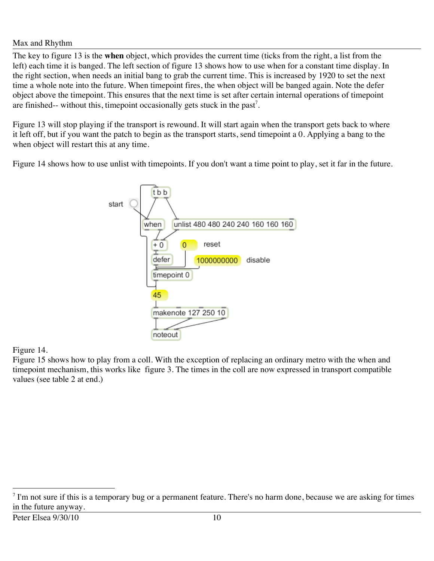The key to figure 13 is the **when** object, which provides the current time (ticks from the right, a list from the left) each time it is banged. The left section of figure 13 shows how to use when for a constant time display. In the right section, when needs an initial bang to grab the current time. This is increased by 1920 to set the next time a whole note into the future. When timepoint fires, the when object will be banged again. Note the defer object above the timepoint. This ensures that the next time is set after certain internal operations of timepoint are finished-- without this, timepoint occasionally gets stuck in the past<sup>7</sup>.

Figure 13 will stop playing if the transport is rewound. It will start again when the transport gets back to where it left off, but if you want the patch to begin as the transport starts, send timepoint a 0. Applying a bang to the when object will restart this at any time.

Figure 14 shows how to use unlist with timepoints. If you don't want a time point to play, set it far in the future.



### Figure 14.

Figure 15 shows how to play from a coll. With the exception of replacing an ordinary metro with the when and timepoint mechanism, this works like figure 3. The times in the coll are now expressed in transport compatible values (see table 2 at end.)

<sup>-&</sup>lt;br>7  $\frac{7}{1}$  I'm not sure if this is a temporary bug or a permanent feature. There's no harm done, because we are asking for times in the future anyway.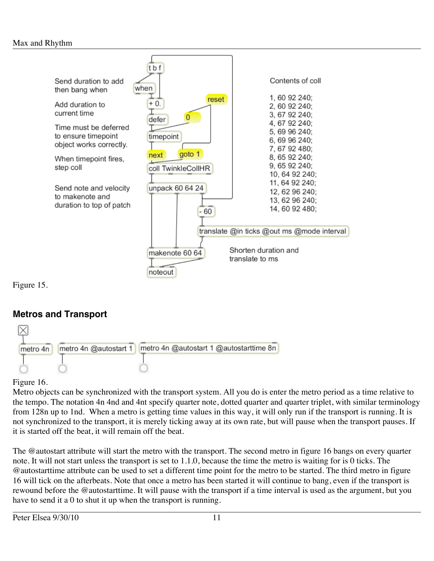

Figure 15.

## **Metros and Transport**



### Figure 16.

Metro objects can be synchronized with the transport system. All you do is enter the metro period as a time relative to the tempo. The notation 4n 4nd and 4nt specify quarter note, dotted quarter and quarter triplet, with similar terminology from 128n up to 1nd. When a metro is getting time values in this way, it will only run if the transport is running. It is not synchronized to the transport, it is merely ticking away at its own rate, but will pause when the transport pauses. If it is started off the beat, it will remain off the beat.

The @autostart attribute will start the metro with the transport. The second metro in figure 16 bangs on every quarter note. It will not start unless the transport is set to 1.1.0, because the time the metro is waiting for is 0 ticks. The @autostarttime attribute can be used to set a different time point for the metro to be started. The third metro in figure 16 will tick on the afterbeats. Note that once a metro has been started it will continue to bang, even if the transport is rewound before the @autostarttime. It will pause with the transport if a time interval is used as the argument, but you have to send it a 0 to shut it up when the transport is running.